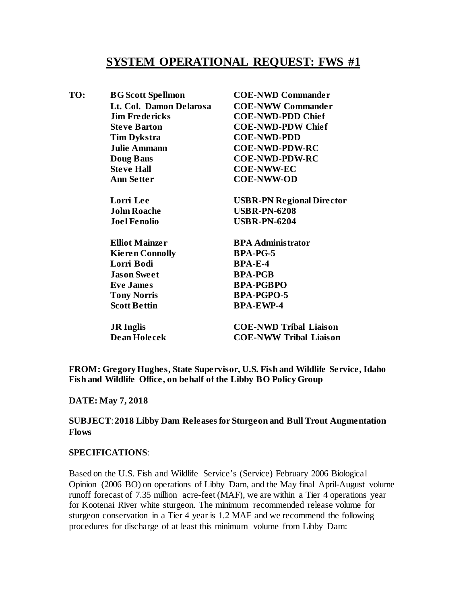# **SYSTEM OPERATIONAL REQUEST: FWS #1**

| TO: | <b>BG</b> Scott Spellmon | <b>COE-NWD Commander</b>         |
|-----|--------------------------|----------------------------------|
|     | Lt. Col. Damon Delarosa  | <b>COE-NWW Commander</b>         |
|     | <b>Jim Fredericks</b>    | <b>COE-NWD-PDD Chief</b>         |
|     | <b>Steve Barton</b>      | <b>COE-NWD-PDW Chief</b>         |
|     | <b>Tim Dykstra</b>       | <b>COE-NWD-PDD</b>               |
|     | <b>Julie Ammann</b>      | <b>COE-NWD-PDW-RC</b>            |
|     | <b>Doug Baus</b>         | <b>COE-NWD-PDW-RC</b>            |
|     | <b>Steve Hall</b>        | <b>COE-NWW-EC</b>                |
|     | <b>Ann Setter</b>        | <b>COE-NWW-OD</b>                |
|     | Lorri Lee                | <b>USBR-PN Regional Director</b> |
|     | <b>John Roache</b>       | <b>USBR-PN-6208</b>              |
|     | <b>Joel Fenolio</b>      | <b>USBR-PN-6204</b>              |
|     | <b>Elliot Mainzer</b>    | <b>BPA Administrator</b>         |
|     | <b>Kieren Connolly</b>   | <b>BPA-PG-5</b>                  |
|     | Lorri Bodi               | $BPA-E-4$                        |
|     | <b>Jason Sweet</b>       | <b>BPA-PGB</b>                   |
|     | <b>Eve James</b>         | <b>BPA-PGBPO</b>                 |
|     | <b>Tony Norris</b>       | <b>BPA-PGPO-5</b>                |
|     | <b>Scott Bettin</b>      | <b>BPA-EWP-4</b>                 |
|     | <b>JR</b> Inglis         | <b>COE-NWD Tribal Liaison</b>    |
|     | Dean Holecek             | <b>COE-NWW Tribal Liaison</b>    |
|     |                          |                                  |

**FROM: Gregory Hughes, State Supervisor, U.S. Fish and Wildlife Service, Idaho Fish and Wildlife Office, on behalf of the Libby BO Policy Group**

### **DATE: May 7, 2018**

#### **SUBJECT**:**2018 Libby Dam Releases for Sturgeon and Bull Trout Augmentation Flows**

#### **SPECIFICATIONS**:

Based on the U.S. Fish and Wildlife Service's (Service) February 2006 Biological Opinion (2006 BO) on operations of Libby Dam, and the May final April-August volume runoff forecast of 7.35 million acre-feet (MAF), we are within a Tier 4 operations year for Kootenai River white sturgeon. The minimum recommended release volume for sturgeon conservation in a Tier 4 year is 1.2 MAF and we recommend the following procedures for discharge of at least this minimum volume from Libby Dam: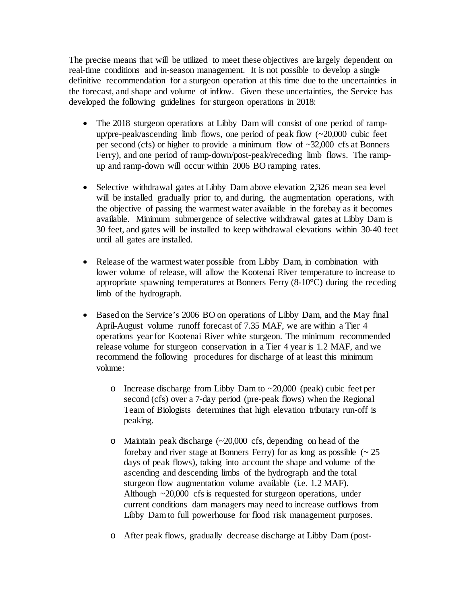The precise means that will be utilized to meet these objectives are largely dependent on real-time conditions and in-season management. It is not possible to develop a single definitive recommendation for a sturgeon operation at this time due to the uncertainties in the forecast, and shape and volume of inflow. Given these uncertainties, the Service has developed the following guidelines for sturgeon operations in 2018:

- The 2018 sturgeon operations at Libby Dam will consist of one period of rampup/pre-peak/ascending limb flows, one period of peak flow  $(\sim 20,000)$  cubic feet per second (cfs) or higher to provide a minimum flow of ~32,000 cfs at Bonners Ferry), and one period of ramp-down/post-peak/receding limb flows. The rampup and ramp-down will occur within 2006 BO ramping rates.
- Selective withdrawal gates at Libby Dam above elevation 2,326 mean sea level will be installed gradually prior to, and during, the augmentation operations, with the objective of passing the warmest water available in the forebay as it becomes available. Minimum submergence of selective withdrawal gates at Libby Dam is 30 feet, and gates will be installed to keep withdrawal elevations within 30-40 feet until all gates are installed.
- Release of the warmest water possible from Libby Dam, in combination with lower volume of release, will allow the Kootenai River temperature to increase to appropriate spawning temperatures at Bonners Ferry (8-10°C) during the receding limb of the hydrograph.
- Based on the Service's 2006 BO on operations of Libby Dam, and the May final April-August volume runoff forecast of 7.35 MAF, we are within a Tier 4 operations year for Kootenai River white sturgeon. The minimum recommended release volume for sturgeon conservation in a Tier 4 year is 1.2 MAF, and we recommend the following procedures for discharge of at least this minimum volume:
	- o Increase discharge from Libby Dam to ~20,000 (peak) cubic feet per second (cfs) over a 7-day period (pre-peak flows) when the Regional Team of Biologists determines that high elevation tributary run-off is peaking.
	- o Maintain peak discharge (~20,000 cfs, depending on head of the forebay and river stage at Bonners Ferry) for as long as possible  $\sim 25$ days of peak flows), taking into account the shape and volume of the ascending and descending limbs of the hydrograph and the total sturgeon flow augmentation volume available (i.e. 1.2 MAF). Although ~20,000 cfs is requested for sturgeon operations, under current conditions dam managers may need to increase outflows from Libby Dam to full powerhouse for flood risk management purposes.
	- o After peak flows, gradually decrease discharge at Libby Dam (post-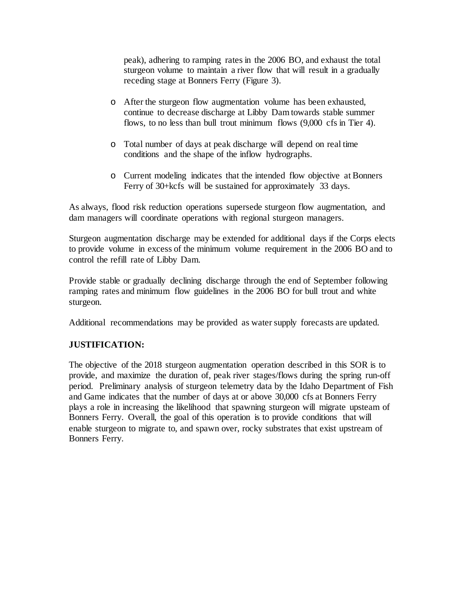peak), adhering to ramping rates in the 2006 BO, and exhaust the total sturgeon volume to maintain a river flow that will result in a gradually receding stage at Bonners Ferry (Figure 3).

- o After the sturgeon flow augmentation volume has been exhausted, continue to decrease discharge at Libby Dam towards stable summer flows, to no less than bull trout minimum flows (9,000 cfs in Tier 4).
- o Total number of days at peak discharge will depend on real time conditions and the shape of the inflow hydrographs.
- o Current modeling indicates that the intended flow objective at Bonners Ferry of 30+kcfs will be sustained for approximately 33 days.

As always, flood risk reduction operations supersede sturgeon flow augmentation, and dam managers will coordinate operations with regional sturgeon managers.

Sturgeon augmentation discharge may be extended for additional days if the Corps elects to provide volume in excess of the minimum volume requirement in the 2006 BO and to control the refill rate of Libby Dam.

Provide stable or gradually declining discharge through the end of September following ramping rates and minimum flow guidelines in the 2006 BO for bull trout and white sturgeon.

Additional recommendations may be provided as water supply forecasts are updated.

## **JUSTIFICATION:**

The objective of the 2018 sturgeon augmentation operation described in this SOR is to provide, and maximize the duration of, peak river stages/flows during the spring run-off period. Preliminary analysis of sturgeon telemetry data by the Idaho Department of Fish and Game indicates that the number of days at or above 30,000 cfs at Bonners Ferry plays a role in increasing the likelihood that spawning sturgeon will migrate upsteam of Bonners Ferry. Overall, the goal of this operation is to provide conditions that will enable sturgeon to migrate to, and spawn over, rocky substrates that exist upstream of Bonners Ferry.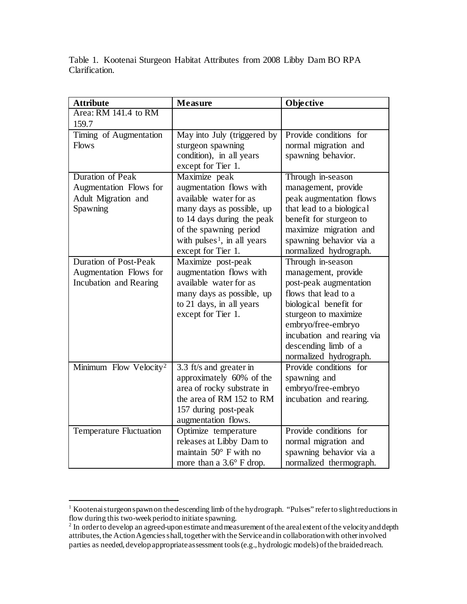Table 1. Kootenai Sturgeon Habitat Attributes from 2008 Libby Dam BO RPA Clarification.

| <b>Attribute</b>                   | <b>Measure</b>                          | Objective                  |
|------------------------------------|-----------------------------------------|----------------------------|
| Area: RM 141.4 to RM               |                                         |                            |
| 159.7                              |                                         |                            |
| Timing of Augmentation             | May into July (triggered by             | Provide conditions for     |
| <b>Flows</b>                       | sturgeon spawning                       | normal migration and       |
|                                    | condition), in all years                | spawning behavior.         |
|                                    | except for Tier 1.                      |                            |
| <b>Duration of Peak</b>            | Maximize peak                           | Through in-season          |
| Augmentation Flows for             | augmentation flows with                 | management, provide        |
| Adult Migration and                | available water for as                  | peak augmentation flows    |
| Spawning                           | many days as possible, up               | that lead to a biological  |
|                                    | to 14 days during the peak              | benefit for sturgeon to    |
|                                    | of the spawning period                  | maximize migration and     |
|                                    | with pulses <sup>1</sup> , in all years | spawning behavior via a    |
|                                    | except for Tier 1.                      | normalized hydrograph.     |
| <b>Duration of Post-Peak</b>       | Maximize post-peak                      | Through in-season          |
| Augmentation Flows for             | augmentation flows with                 | management, provide        |
| Incubation and Rearing             | available water for as                  | post-peak augmentation     |
|                                    | many days as possible, up               | flows that lead to a       |
|                                    | to 21 days, in all years                | biological benefit for     |
|                                    | except for Tier 1.                      | sturgeon to maximize       |
|                                    |                                         | embryo/free-embryo         |
|                                    |                                         | incubation and rearing via |
|                                    |                                         | descending limb of a       |
|                                    |                                         | normalized hydrograph.     |
| Minimum Flow Velocity <sup>2</sup> | 3.3 ft/s and greater in                 | Provide conditions for     |
|                                    | approximately 60% of the                | spawning and               |
|                                    | area of rocky substrate in              | embryo/free-embryo         |
|                                    | the area of RM 152 to RM                | incubation and rearing.    |
|                                    | 157 during post-peak                    |                            |
|                                    | augmentation flows.                     |                            |
| <b>Temperature Fluctuation</b>     | Optimize temperature                    | Provide conditions for     |
|                                    | releases at Libby Dam to                | normal migration and       |
|                                    | maintain $50^\circ$ F with no           | spawning behavior via a    |
|                                    | more than a $3.6^{\circ}$ F drop.       | normalized thermograph.    |

<span id="page-3-0"></span><sup>&</sup>lt;sup>1</sup> Kootenai sturgeon spawn on the descending limb of the hydrograph. "Pulses" refer to slight reductions in flow during this two-week period to initiate spawning.

<span id="page-3-1"></span><sup>&</sup>lt;sup>2</sup> In order to develop an agreed-upon estimate and measurement of the areal extent of the velocity and depth attributes, the Action Agencies shall, together with the Service and in collaboration with other involved parties as needed, develop appropriate assessment tools (e.g., hydrologic models) of the braided reach.